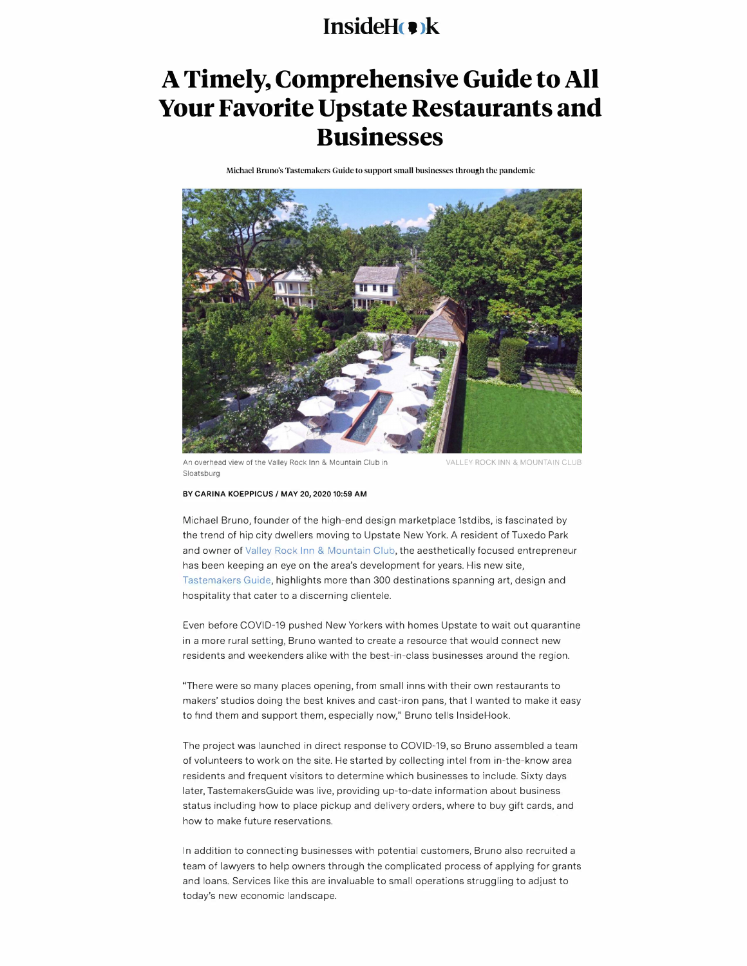## **InsideHe**k

## **A Timely, Comprehensive Guide to All Your Favorite Upstate Restaurants and Businesses**

Michael Bruno's Tastemakers Guide to support small businesses through the pandemic



An overhead view of the Valley Rock Inn & Mountain Club in Sloatsburg

VALLEY ROCK INN & MOUNTAIN CLUB

## **BY CARINA KOEPPICUS / MAY 20, 202010:59 AM**

Michael Bruno, founder of the high-end design marketplace lstdibs, is fascinated by the trend of hip city dwellers moving to Upstate New York. A resident of Tuxedo Park and owner of Valley Rock Inn & Mountain Club, the aesthetically focused entrepreneur has been keeping an eye on the area's development for years. His new site, Tastemakers Guide, highlights more than 300 destinations spanning art, design and hospitality that cater to a discerning clientele.

Even before COVID-19 pushed New Yorkers with homes Upstate to wait out quarantine in a more rural setting, Bruno wanted to create a resource that would connect new residents and weekenders alike with the best-in-class businesses around the region.

"There were so many places opening, from small inns with their own restaurants to makers' studios doing the best knives and cast-iron pans, that I wanted to make it easy to find them and support them, especially now," Bruno tells InsideHook.

The project was launched in direct response to COVID-19, so Bruno assembled a team of volunteers to work on the site. He started by collecting intel from in-the-know area residents and frequent visitors to determine which businesses to include. Sixty days later, TastemakersGuide was live, providing up-to-date information about business status including how to place pickup and delivery orders, where to buy gift cards, and how to make future reservations.

In addition to connecting businesses with potential customers, Bruno also recruited a team of lawyers to help owners through the complicated process of applying for grants and loans. Services like this are invaluable to small operations struggling to adjust to today's new economic landscape.